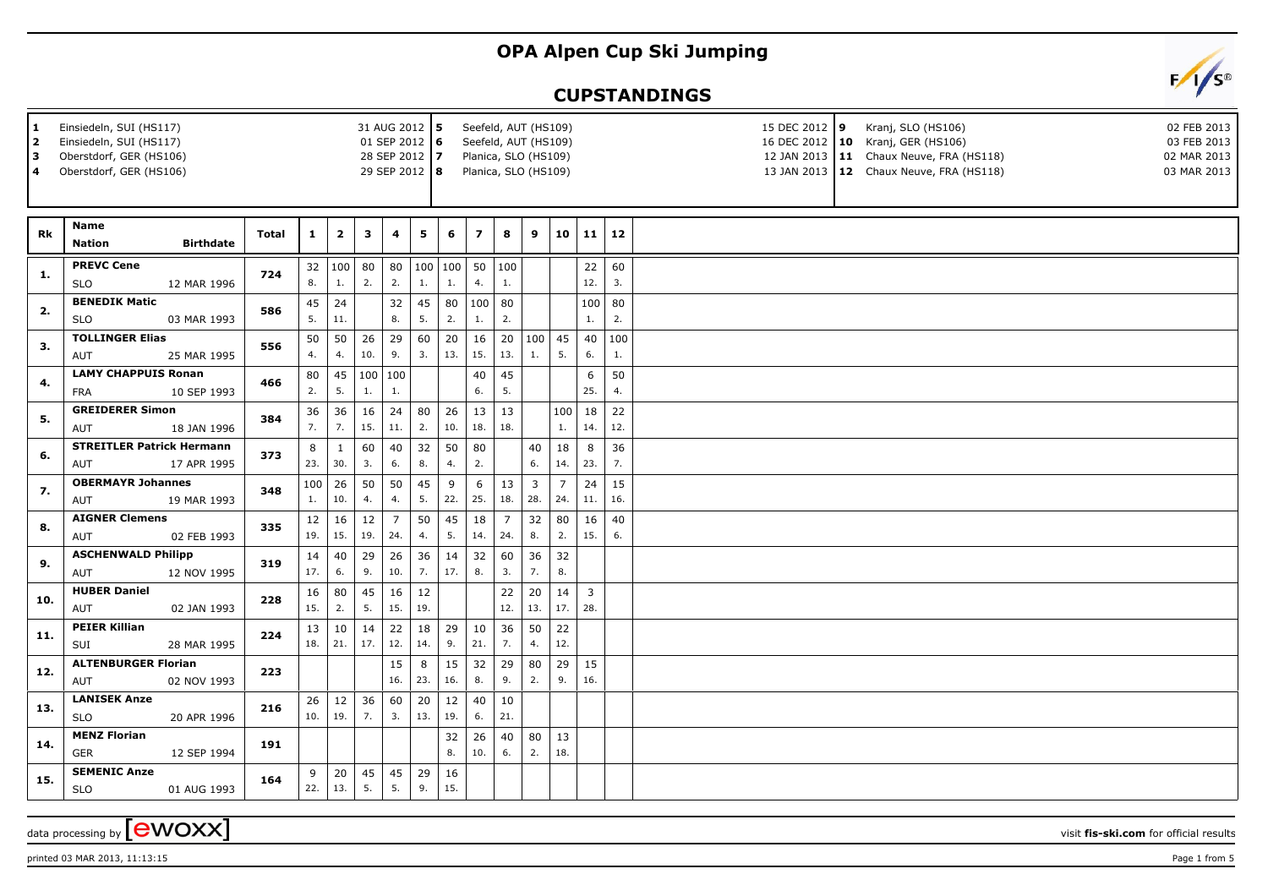## **OPA Alpen Cup Ski Jumping**

## **CUPSTANDINGS**



data processing by **CWOXX**  $\overline{\phantom{a}}$  visit **fis-ski.com** for official results



printed 03 MAR 2013, 11:13:15 Page 1 from 5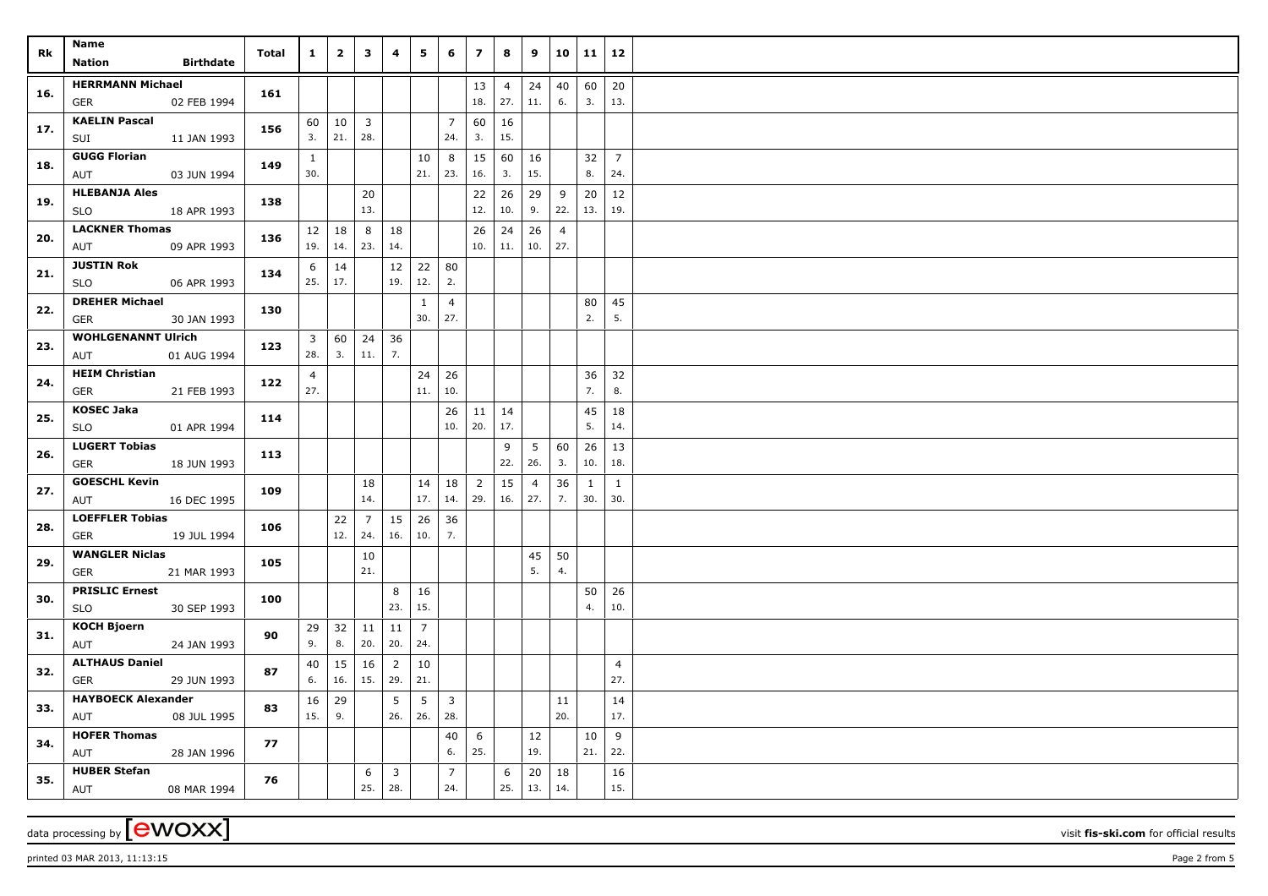| Rk  | Name<br><b>Nation</b><br><b>Birthdate</b>           | <b>Total</b> | $\mathbf{1}$          | $\overline{2}$ | $\mathbf{3}$                   | $\overline{\mathbf{4}}$ | 5                     | 6                     | $\overline{z}$        | 8                     | 9                      |                       | 10   11             | 12                    |  |
|-----|-----------------------------------------------------|--------------|-----------------------|----------------|--------------------------------|-------------------------|-----------------------|-----------------------|-----------------------|-----------------------|------------------------|-----------------------|---------------------|-----------------------|--|
| 16. | <b>HERRMANN Michael</b><br>02 FEB 1994<br>GER       | 161          |                       |                |                                |                         |                       |                       | 13<br>18.             | $\overline{4}$<br>27. | 24<br>11.              | 40<br>6.              | 60<br>3.            | 20<br>13.             |  |
| 17. | <b>KAELIN Pascal</b><br>11 JAN 1993<br>SUI          | 156          | 60<br>3.              | 10<br>21.      | $\overline{\mathbf{3}}$<br>28. |                         |                       | $\overline{7}$<br>24. | 60<br>3.              | 16<br>15.             |                        |                       |                     |                       |  |
| 18. | <b>GUGG Florian</b><br>03 JUN 1994<br>AUT           | 149          | $\mathbf{1}$<br>30.   |                |                                |                         | 10<br>21.             | 8<br> 23.             | 15<br>16.             | 60<br>3.              | 16<br>15.              |                       | 32<br>8.            | $\overline{7}$<br>24. |  |
| 19. | <b>HLEBANJA Ales</b><br><b>SLO</b><br>18 APR 1993   | 138          |                       |                | 20<br>13.                      |                         |                       |                       | 22<br>12.             | 26<br>10.             | 29<br>9.               | 9<br>22.              | 20<br>13.           | 12<br>19.             |  |
| 20. | <b>LACKNER Thomas</b><br>AUT<br>09 APR 1993         | 136          | 12<br>19.             | 18<br>14.      | 8<br>23.                       | 18<br>14.               |                       |                       | 26<br>10.             | 24<br>11.             | 26<br>10.              | $\overline{4}$<br>27. |                     |                       |  |
| 21. | <b>JUSTIN Rok</b><br><b>SLO</b><br>06 APR 1993      | 134          | 6<br>25.              | 14<br>17.      |                                | 12<br>19.               | 22<br>12.             | 80<br>2.              |                       |                       |                        |                       |                     |                       |  |
| 22. | <b>DREHER Michael</b><br>30 JAN 1993<br><b>GER</b>  | 130          |                       |                |                                |                         | $\mathbf{1}$<br>30.   | 4<br>27.              |                       |                       |                        |                       | 80<br>2.            | 45<br>5.              |  |
| 23. | <b>WOHLGENANNT Ulrich</b><br>AUT<br>01 AUG 1994     | 123          | 3<br>28.              | 60<br>3.       | $24 \mid 36$<br>$11. \,$       | 7.                      |                       |                       |                       |                       |                        |                       |                     |                       |  |
| 24. | <b>HEIM Christian</b><br><b>GER</b><br>21 FEB 1993  | 122          | $\overline{4}$<br>27. |                |                                |                         | 24<br>11.             | 26<br>10.             |                       |                       |                        |                       | 36<br>7.            | 32<br>8.              |  |
| 25. | <b>KOSEC Jaka</b><br>01 APR 1994<br>SLO             | 114          |                       |                |                                |                         |                       | 26<br>10.             | 11<br>20.             | 14<br>17.             |                        |                       | 45<br>5.            | 18<br>14.             |  |
| 26. | <b>LUGERT Tobias</b><br>18 JUN 1993<br><b>GER</b>   | 113          |                       |                |                                |                         |                       |                       |                       | 9<br>22.              | $5\overline{)}$<br>26. | 60<br>3.              | 26<br>10.           | 13<br>18.             |  |
| 27. | <b>GOESCHL Kevin</b><br>16 DEC 1995<br>AUT          | 109          |                       |                | 18<br>14.                      |                         | 14<br>17.             | 18<br>14.             | $\overline{2}$<br>29. | 15<br>16.             | $\overline{4}$<br>27.  | 36<br>7.              | $\mathbf{1}$<br>30. | $\mathbf{1}$<br>30.   |  |
| 28. | <b>LOEFFLER Tobias</b><br><b>GER</b><br>19 JUL 1994 | 106          |                       | 22<br>12.      | $\overline{7}$<br>24.          | 15<br>16.               | 26<br>10.             | 36<br>7.              |                       |                       |                        |                       |                     |                       |  |
| 29. | <b>WANGLER Niclas</b><br><b>GER</b><br>21 MAR 1993  | 105          |                       |                | 10<br>21.                      |                         |                       |                       |                       |                       | 45<br>5.               | 50<br>4.              |                     |                       |  |
| 30. | <b>PRISLIC Ernest</b><br>30 SEP 1993<br><b>SLO</b>  | 100          |                       |                |                                | 8<br>23.                | 16<br>15.             |                       |                       |                       |                        |                       | 50<br>4.            | 26<br>10.             |  |
| 31. | <b>KOCH Bjoern</b><br>24 JAN 1993<br>AUT            | 90           | 29<br>9.              | 32<br>8.       | $11 \mid 11$<br>20.            | 20.                     | $\overline{7}$<br>24. |                       |                       |                       |                        |                       |                     |                       |  |
| 32. | <b>ALTHAUS Daniel</b><br>29 JUN 1993<br>GER         | 87           | 40<br>6.              | 15<br>16.      | 16<br>15.                      | $\overline{2}$<br>29.   | 10<br>21.             |                       |                       |                       |                        |                       |                     | $\overline{4}$<br>27. |  |
| 33. | <b>HAYBOECK Alexander</b><br>AUT<br>08 JUL 1995     | 83           | 16<br>15.             | 29<br>9.       |                                | 5<br>26.                | 5<br>26.              | $\overline{3}$<br>28. |                       |                       |                        | 11<br>20.             |                     | 14<br>17.             |  |
| 34. | <b>HOFER Thomas</b><br>28 JAN 1996<br>AUT           | 77           |                       |                |                                |                         |                       | 40<br>6.              | 6<br>25.              |                       | 12<br>19.              |                       | 10<br>21.           | 9<br>22.              |  |
| 35. | <b>HUBER Stefan</b><br>AUT<br>08 MAR 1994           | 76           |                       |                | 6<br>25.                       | $\overline{3}$<br>28.   |                       | $\overline{7}$<br>24. |                       | 6<br>25.              | 20<br>13.              | 18<br>14.             |                     | 16<br>15.             |  |

data processing by **CWOXX** visit **fis-ski.com** for official results

printed 03 MAR 2013, 11:13:15 **Page 2** from 5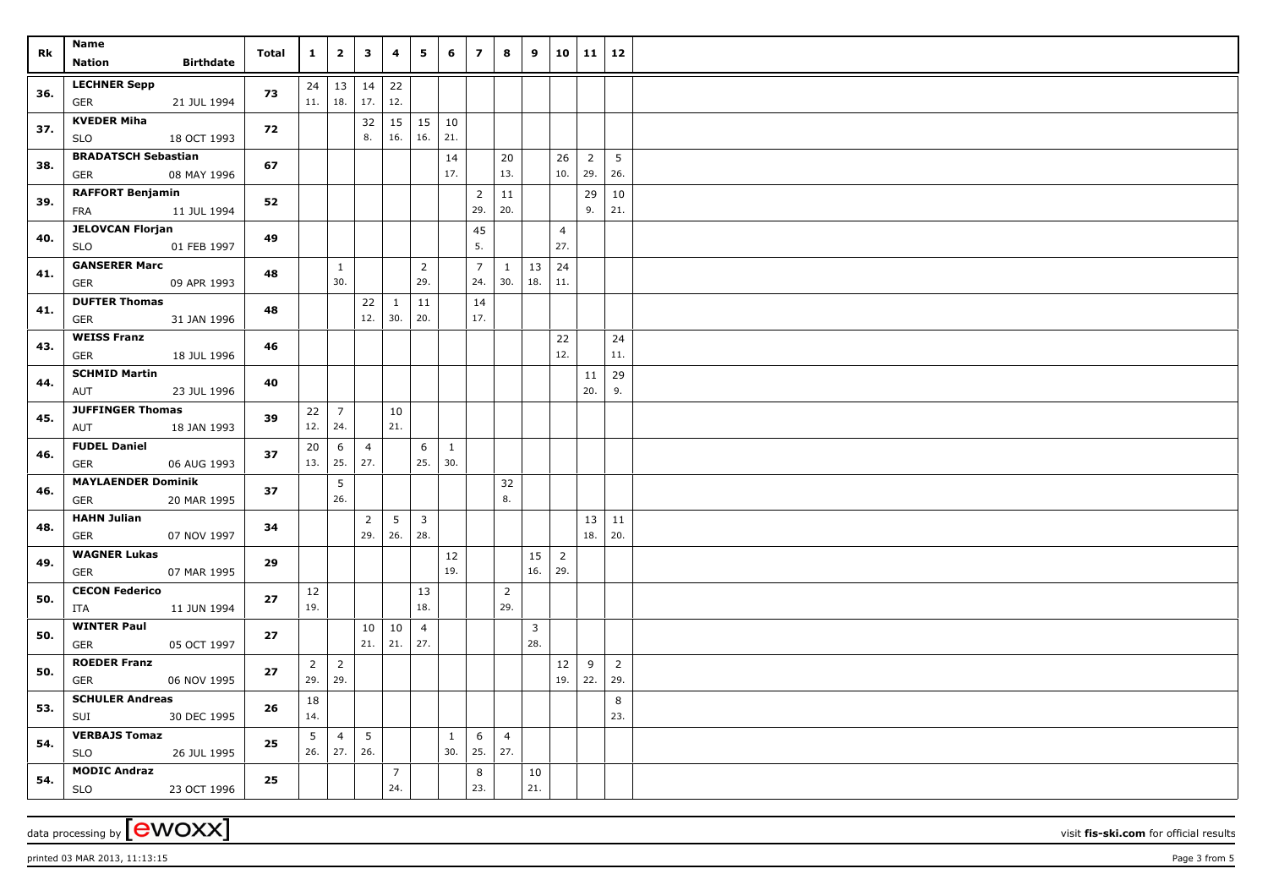| Rk  | Name<br>Nation<br>Birthdate                                           | Total | $\mathbf{1}$   | $\overline{\mathbf{2}}$    | $\mathbf{3}$        | $\overline{\mathbf{4}}$   | 5                           | 6            | $\overline{z}$        | 8                   | 9                         |                       | 10 11 12       |                |  |
|-----|-----------------------------------------------------------------------|-------|----------------|----------------------------|---------------------|---------------------------|-----------------------------|--------------|-----------------------|---------------------|---------------------------|-----------------------|----------------|----------------|--|
| 36. | <b>LECHNER Sepp</b><br>21 JUL 1994<br>GER                             | 73    | 24<br>11.      | 13<br>18.                  | $14 \mid 22$<br>17. | 12.                       |                             |              |                       |                     |                           |                       |                |                |  |
| 37. | <b>KVEDER Miha</b><br>18 OCT 1993<br>SLO                              | 72    |                |                            | 32<br>8.            | 16.                       | $15 \mid 15 \mid 10$<br>16. | 21.          |                       |                     |                           |                       |                |                |  |
| 38. | <b>BRADATSCH Sebastian</b><br>08 MAY 1996<br>GER                      | 67    |                |                            |                     |                           |                             | 14<br>17.    |                       | 20<br>13.           |                           | 26<br>$10.$ 29.       | $\overline{2}$ | 5<br>26.       |  |
| 39. | <b>RAFFORT Benjamin</b><br>11 JUL 1994<br>FRA                         | 52    |                |                            |                     |                           |                             |              | $\overline{2}$<br>29. | 11<br>20.           |                           |                       | 29<br>9.       | 10<br>21.      |  |
| 40. | <b>JELOVCAN Florjan</b><br>01 FEB 1997<br><b>SLO</b>                  | 49    |                |                            |                     |                           |                             |              | 45<br>5.              |                     |                           | $\overline{4}$<br>27. |                |                |  |
| 41. | <b>GANSERER Marc</b><br>09 APR 1993<br>GER                            | 48    |                | $\mathbf{1}$<br>30.        |                     |                           | $\overline{2}$<br>29.       |              | $\overline{7}$<br>24. | $\mathbf{1}$<br>30. | $\vert$ 13 $\vert$<br>18. | 24<br>11.             |                |                |  |
| 41. | <b>DUFTER Thomas</b><br>31 JAN 1996<br>GER                            | 48    |                |                            | 22                  | $\mathbf{1}$<br>12.   30. | 11<br>20.                   |              | 14<br>17.             |                     |                           |                       |                |                |  |
| 43. | <b>WEISS Franz</b><br>18 JUL 1996<br>GER                              | 46    |                |                            |                     |                           |                             |              |                       |                     |                           | 22<br>12.             |                | 24<br>11.      |  |
| 44. | <b>SCHMID Martin</b><br>AUT<br>23 JUL 1996<br><b>JUFFINGER Thomas</b> | 40    |                |                            |                     |                           |                             |              |                       |                     |                           |                       | 11<br>20.      | 29<br>9.       |  |
| 45. | 18 JAN 1993<br>AUT<br><b>FUDEL Daniel</b>                             | 39    | 22<br>12.      | $\overline{7}$<br>24.<br>6 | $\overline{4}$      | 10<br>21.                 | 6                           | 1            |                       |                     |                           |                       |                |                |  |
| 46. | 06 AUG 1993<br>GER<br><b>MAYLAENDER Dominik</b>                       | 37    | 20<br>13.      | 25.<br>5                   | 27.                 |                           | 25.                         | 30.          |                       | 32                  |                           |                       |                |                |  |
| 46. | 20 MAR 1995<br>GER<br><b>HAHN Julian</b>                              | 37    |                | 26.                        | 2                   | 5 <sup>5</sup>            | $\overline{\mathbf{3}}$     |              |                       | 8.                  |                           |                       | 13             | 11             |  |
| 48. | GER<br>07 NOV 1997<br><b>WAGNER Lukas</b>                             | 34    |                |                            | 29.                 | 26.                       | 28.                         | 12           |                       |                     | 15                        | $\overline{2}$        | 18.            | 20.            |  |
| 49. | <b>GER</b><br>07 MAR 1995<br><b>CECON Federico</b>                    | 29    | 12             |                            |                     |                           | 13                          | 19.          |                       | $\overline{2}$      | 16.                       | 29.                   |                |                |  |
| 50. | 11 JUN 1994<br>ITA<br><b>WINTER Paul</b>                              | 27    | 19.            |                            |                     | $10 \mid 10$              | 18.<br>$\overline{4}$       |              |                       | 29.                 | $\overline{3}$            |                       |                |                |  |
| 50. | 05 OCT 1997<br>GER<br><b>ROEDER Franz</b>                             | 27    | $\overline{2}$ | $\overline{2}$             | 21.                 | 21.                       | 27.                         |              |                       |                     | 28.                       | 12                    | 9              | $\overline{2}$ |  |
| 50. | 06 NOV 1995<br>GER<br><b>SCHULER Andreas</b>                          | 27    | 29.<br>18      | 29.                        |                     |                           |                             |              |                       |                     |                           | 19. 22.               |                | 29.<br>8       |  |
| 53. | 30 DEC 1995<br>SUI<br><b>VERBAJS Tomaz</b>                            | 26    | 14.<br>5       | $\overline{4}$             | 5                   |                           |                             | $\mathbf{1}$ | 6                     | $\overline{4}$      |                           |                       |                | 23.            |  |
| 54. | <b>SLO</b><br>26 JUL 1995<br><b>MODIC Andraz</b>                      | 25    | 26.            | 27.                        | 26.                 | $\overline{7}$            |                             | 30.          | 25.<br>8              | 27.                 | 10                        |                       |                |                |  |
| 54. | 23 OCT 1996<br><b>SLO</b>                                             | 25    |                |                            |                     | 24.                       |                             |              | 23.                   |                     | 21.                       |                       |                |                |  |

data processing by **CWOXX** visit **fis-ski.com** for official results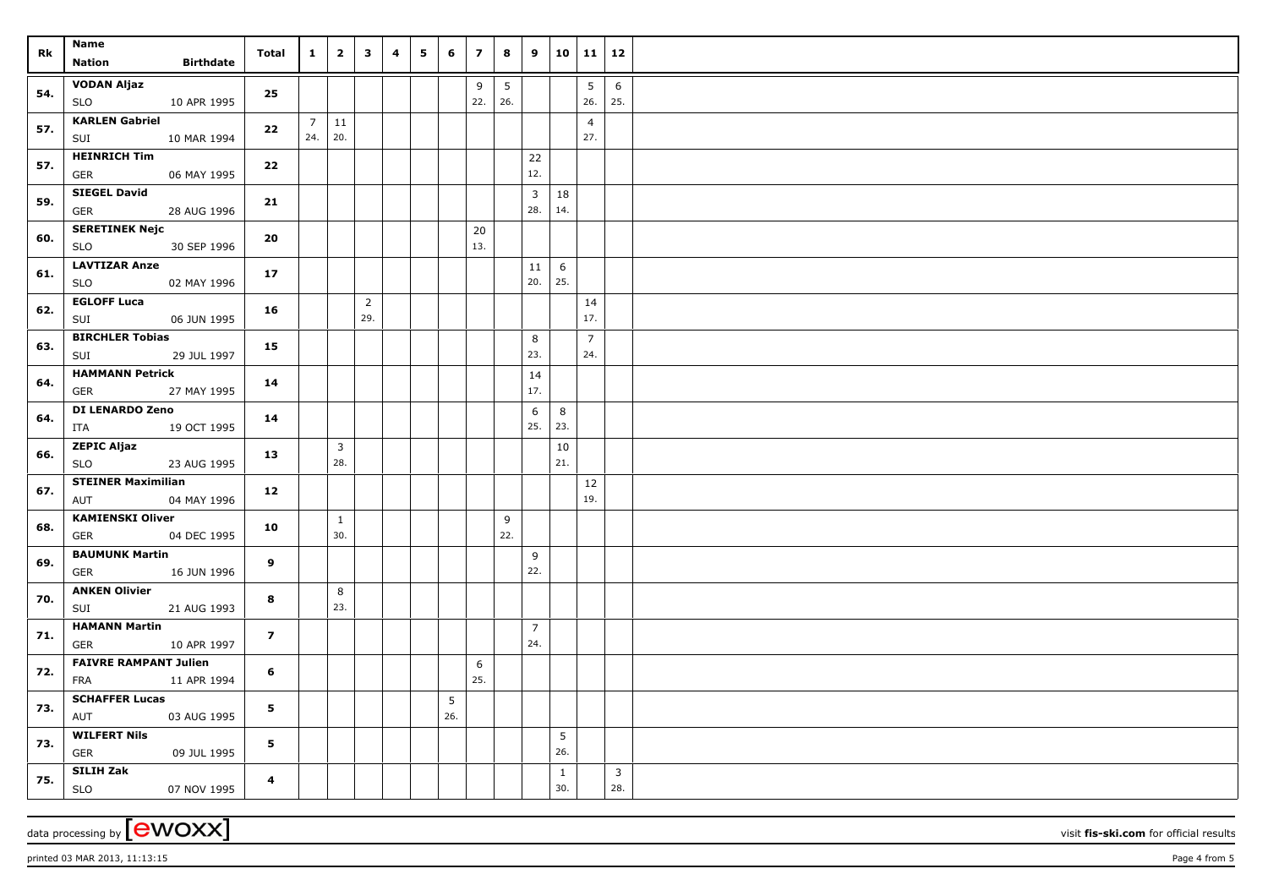| Rk  | Name<br><b>Birthdate</b><br>Nation                                           | Total          | $\mathbf{1}$          | $\overline{\mathbf{2}}$        | $\overline{\mathbf{3}}$ | $\overline{\mathbf{4}}$ | $5^{\circ}$ | 6   | $\overline{z}$ | 8        | 9              |                     | $10 \mid 11 \mid 12$   |                |  |
|-----|------------------------------------------------------------------------------|----------------|-----------------------|--------------------------------|-------------------------|-------------------------|-------------|-----|----------------|----------|----------------|---------------------|------------------------|----------------|--|
| 54. | <b>VODAN Aljaz</b><br>SLO<br>10 APR 1995                                     | 25             |                       |                                |                         |                         |             |     | 9<br>22.       | 5<br>26. |                |                     | $5\phantom{.0}$<br>26. | 6<br>25.       |  |
| 57. | <b>KARLEN Gabriel</b><br>SUI<br>10 MAR 1994                                  | 22             | $\overline{7}$<br>24. | 11<br>20.                      |                         |                         |             |     |                |          |                |                     | $\overline{4}$<br>27.  |                |  |
| 57. | <b>HEINRICH Tim</b><br><b>GER</b><br>06 MAY 1995                             | 22             |                       |                                |                         |                         |             |     |                |          | 22<br>12.      |                     |                        |                |  |
| 59. | <b>SIEGEL David</b><br><b>GER</b><br>28 AUG 1996                             | 21             |                       |                                |                         |                         |             |     |                |          | 3<br>28.       | 18<br>14.           |                        |                |  |
| 60. | <b>SERETINEK Nejc</b><br><b>SLO</b><br>30 SEP 1996                           | 20             |                       |                                |                         |                         |             |     | 20<br>13.      |          |                |                     |                        |                |  |
| 61. | <b>LAVTIZAR Anze</b><br>SLO<br>02 MAY 1996                                   | 17             |                       |                                |                         |                         |             |     |                |          | 11<br>20.      | 6<br>25.            |                        |                |  |
| 62. | <b>EGLOFF Luca</b><br>06 JUN 1995<br>SUI                                     | 16             |                       |                                | $\overline{2}$<br>29.   |                         |             |     |                |          |                |                     | 14<br>17.              |                |  |
| 63. | <b>BIRCHLER Tobias</b><br>29 JUL 1997<br>SUI                                 | 15             |                       |                                |                         |                         |             |     |                |          | 8<br>23.       |                     | $\overline{7}$<br>24.  |                |  |
| 64. | <b>HAMMANN Petrick</b><br>27 MAY 1995<br>GER                                 | 14             |                       |                                |                         |                         |             |     |                |          | 14<br>17.      |                     |                        |                |  |
| 64. | <b>DI LENARDO Zeno</b><br>19 OCT 1995<br>ITA                                 | 14             |                       |                                |                         |                         |             |     |                |          | 6<br>25.       | 8<br>23.            |                        |                |  |
| 66. | <b>ZEPIC Aljaz</b><br>23 AUG 1995<br><b>SLO</b><br><b>STEINER Maximilian</b> | 13             |                       | $\overline{\mathbf{3}}$<br>28. |                         |                         |             |     |                |          |                | 10<br>21.           |                        |                |  |
| 67. | 04 MAY 1996<br>AUT<br><b>KAMIENSKI Oliver</b>                                | 12             |                       |                                |                         |                         |             |     |                |          |                |                     | 12<br>19.              |                |  |
| 68. | 04 DEC 1995<br>GER<br><b>BAUMUNK Martin</b>                                  | 10             |                       | $\mathbf{1}$<br>30.            |                         |                         |             |     |                | 9<br>22. |                |                     |                        |                |  |
| 69. | GER<br>16 JUN 1996<br><b>ANKEN Olivier</b>                                   | 9              |                       |                                |                         |                         |             |     |                |          | 9<br>22.       |                     |                        |                |  |
| 70. | 21 AUG 1993<br>SUI<br><b>HAMANN Martin</b>                                   | 8              |                       | 8<br>23.                       |                         |                         |             |     |                |          | $\overline{7}$ |                     |                        |                |  |
| 71. | 10 APR 1997<br>GER<br><b>FAIVRE RAMPANT Julien</b>                           | $\overline{ }$ |                       |                                |                         |                         |             |     | 6              |          | 24.            |                     |                        |                |  |
| 72. | 11 APR 1994<br>FRA<br><b>SCHAFFER Lucas</b>                                  | 6              |                       |                                |                         |                         |             | 5   | 25.            |          |                |                     |                        |                |  |
| 73. | AUT<br>03 AUG 1995<br><b>WILFERT Nils</b>                                    | 5              |                       |                                |                         |                         |             | 26. |                |          |                | 5                   |                        |                |  |
| 73. | GER<br>09 JUL 1995<br>SILIH Zak                                              | 5              |                       |                                |                         |                         |             |     |                |          |                | 26.<br>$\mathbf{1}$ |                        | $\overline{3}$ |  |
| 75. | <b>SLO</b><br>07 NOV 1995                                                    | 4              |                       |                                |                         |                         |             |     |                |          |                | 30.                 |                        | 28.            |  |

data processing by **CWOXX** visit **fis-ski.com** for official results